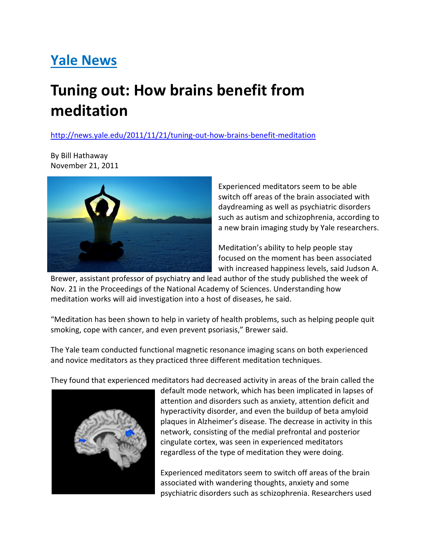## Yale News

## Tuning out: How brains benefit from meditation

http://news.yale.edu/2011/11/21/tuning-out-how-brains-benefit-meditation

By Bill Hathaway November 21, 2011



Experienced meditators seem to be able switch off areas of the brain associated with daydreaming as well as psychiatric disorders such as autism and schizophrenia, according to a new brain imaging study by Yale researchers.

Meditation's ability to help people stay focused on the moment has been associated with increased happiness levels, said Judson A.

Brewer, assistant professor of psychiatry and lead author of the study published the week of Nov. 21 in the Proceedings of the National Academy of Sciences. Understanding how meditation works will aid investigation into a host of diseases, he said.

"Meditation has been shown to help in variety of health problems, such as helping people quit smoking, cope with cancer, and even prevent psoriasis," Brewer said.

The Yale team conducted functional magnetic resonance imaging scans on both experienced and novice meditators as they practiced three different meditation techniques.

They found that experienced meditators had decreased activity in areas of the brain called the



default mode network, which has been implicated in lapses of attention and disorders such as anxiety, attention deficit and hyperactivity disorder, and even the buildup of beta amyloid plaques in Alzheimer's disease. The decrease in activity in this network, consisting of the medial prefrontal and posterior cingulate cortex, was seen in experienced meditators regardless of the type of meditation they were doing.

Experienced meditators seem to switch off areas of the brain associated with wandering thoughts, anxiety and some psychiatric disorders such as schizophrenia. Researchers used